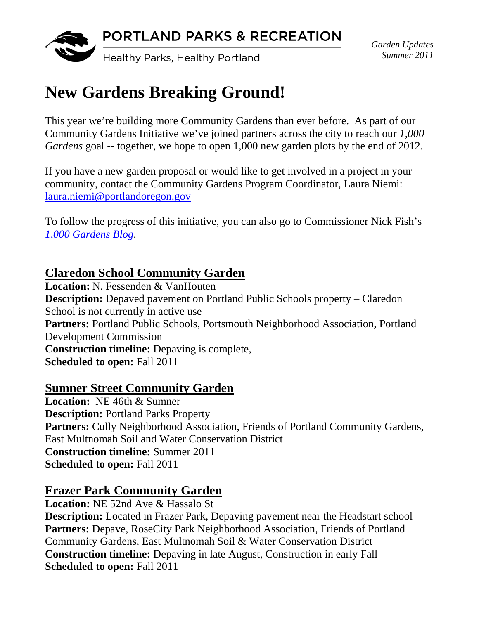

*Garden Updates Summer 2011* 

# **New Gardens Breaking Ground!**

This year we're building more Community Gardens than ever before. As part of our Community Gardens Initiative we've joined partners across the city to reach our *1,000 Gardens* goal -- together, we hope to open 1,000 new garden plots by the end of 2012.

If you have a new garden proposal or would like to get involved in a project in your community, contact the Community Gardens Program Coordinator, Laura Niemi: laura.niemi@portlandoregon.gov

To follow the progress of this initiative, you can also go to Commissioner Nick Fish's *1,000 Gardens Blog*.

#### **Claredon School Community Garden**

**Location:** N. Fessenden & VanHouten **Description:** Depaved pavement on Portland Public Schools property – Claredon School is not currently in active use **Partners:** Portland Public Schools, Portsmouth Neighborhood Association, Portland Development Commission **Construction timeline:** Depaving is complete, **Scheduled to open:** Fall 2011

#### **Sumner Street Community Garden**

**Location:** NE 46th & Sumner **Description:** Portland Parks Property **Partners:** Cully Neighborhood Association, Friends of Portland Community Gardens, East Multnomah Soil and Water Conservation District **Construction timeline:** Summer 2011 **Scheduled to open:** Fall 2011

#### **Frazer Park Community Garden**

**Location:** NE 52nd Ave & Hassalo St **Description:** Located in Frazer Park, Depaving pavement near the Headstart school **Partners:** Depave, RoseCity Park Neighborhood Association, Friends of Portland Community Gardens, East Multnomah Soil & Water Conservation District **Construction timeline:** Depaving in late August, Construction in early Fall **Scheduled to open:** Fall 2011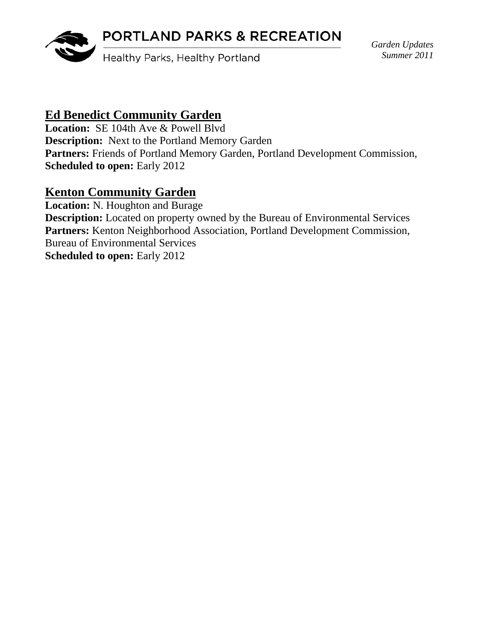### PORTLAND PARKS & RECREATION



Healthy Parks, Healthy Portland

*Garden Updates Summer 2011* 

#### **Ed Benedict Community Garden**

Location: SE 104th Ave & Powell Blvd **Description:** Next to the Portland Memory Garden Partners: Friends of Portland Memory Garden, Portland Development Commission, **Scheduled to open:** Early 2012

#### **Kenton Community Garden**

**Location:** N. Houghton and Burage **Description:** Located on property owned by the Bureau of Environmental Services **Partners:** Kenton Neighborhood Association, Portland Development Commission, Bureau of Environmental Services **Scheduled to open: Early 2012**